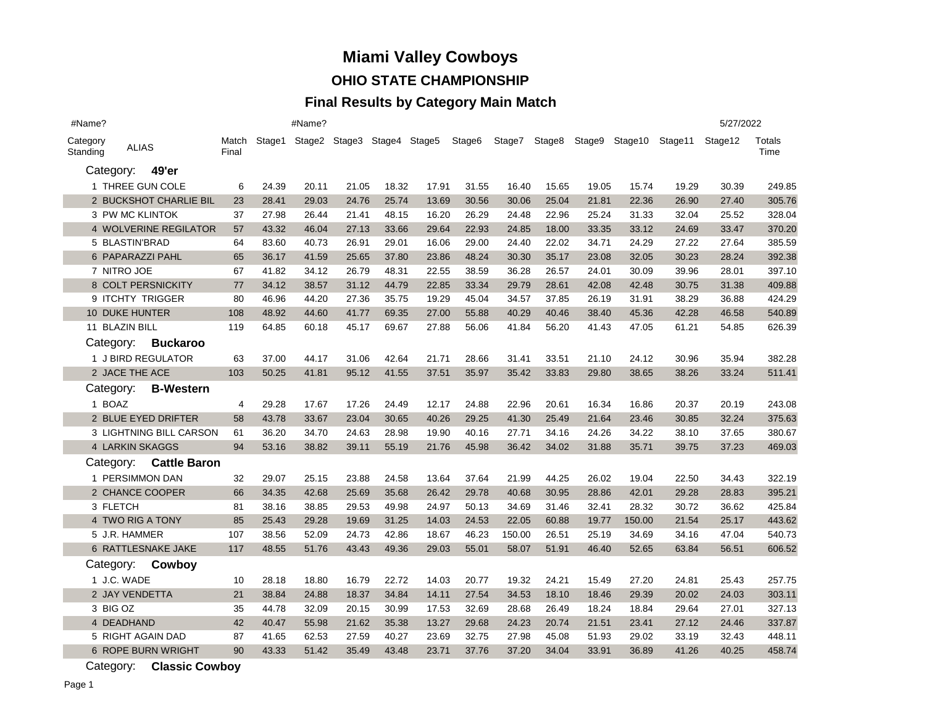# **Miami Valley Cowboys**

### **OHIO STATE CHAMPIONSHIP**

### **Final Results by Category Main Match**

| #Name?               |                       |                         |                |       | #Name?                             |       |       |       |        |        |               |       |                |         | 5/27/2022 |                |
|----------------------|-----------------------|-------------------------|----------------|-------|------------------------------------|-------|-------|-------|--------|--------|---------------|-------|----------------|---------|-----------|----------------|
| Category<br>Standing | <b>ALIAS</b>          |                         | Match<br>Final |       | Stage1 Stage2 Stage3 Stage4 Stage5 |       |       |       | Stage6 |        | Stage7 Stage8 |       | Stage9 Stage10 | Stage11 | Stage12   | Totals<br>Time |
|                      | Category:             | 49'er                   |                |       |                                    |       |       |       |        |        |               |       |                |         |           |                |
|                      |                       | 1 THREE GUN COLE        | 6              | 24.39 | 20.11                              | 21.05 | 18.32 | 17.91 | 31.55  | 16.40  | 15.65         | 19.05 | 15.74          | 19.29   | 30.39     | 249.85         |
|                      |                       | 2 BUCKSHOT CHARLIE BIL  | 23             | 28.41 | 29.03                              | 24.76 | 25.74 | 13.69 | 30.56  | 30.06  | 25.04         | 21.81 | 22.36          | 26.90   | 27.40     | 305.76         |
|                      | 3 PW MC KLINTOK       |                         | 37             | 27.98 | 26.44                              | 21.41 | 48.15 | 16.20 | 26.29  | 24.48  | 22.96         | 25.24 | 31.33          | 32.04   | 25.52     | 328.04         |
|                      |                       | 4 WOLVERINE REGILATOR   | 57             | 43.32 | 46.04                              | 27.13 | 33.66 | 29.64 | 22.93  | 24.85  | 18.00         | 33.35 | 33.12          | 24.69   | 33.47     | 370.20         |
|                      | 5 BLASTIN'BRAD        |                         | 64             | 83.60 | 40.73                              | 26.91 | 29.01 | 16.06 | 29.00  | 24.40  | 22.02         | 34.71 | 24.29          | 27.22   | 27.64     | 385.59         |
|                      |                       | 6 PAPARAZZI PAHL        | 65             | 36.17 | 41.59                              | 25.65 | 37.80 | 23.86 | 48.24  | 30.30  | 35.17         | 23.08 | 32.05          | 30.23   | 28.24     | 392.38         |
|                      | 7 NITRO JOE           |                         | 67             | 41.82 | 34.12                              | 26.79 | 48.31 | 22.55 | 38.59  | 36.28  | 26.57         | 24.01 | 30.09          | 39.96   | 28.01     | 397.10         |
|                      |                       | 8 COLT PERSNICKITY      | 77             | 34.12 | 38.57                              | 31.12 | 44.79 | 22.85 | 33.34  | 29.79  | 28.61         | 42.08 | 42.48          | 30.75   | 31.38     | 409.88         |
|                      |                       | 9 ITCHTY TRIGGER        | 80             | 46.96 | 44.20                              | 27.36 | 35.75 | 19.29 | 45.04  | 34.57  | 37.85         | 26.19 | 31.91          | 38.29   | 36.88     | 424.29         |
|                      | <b>10 DUKE HUNTER</b> |                         | 108            | 48.92 | 44.60                              | 41.77 | 69.35 | 27.00 | 55.88  | 40.29  | 40.46         | 38.40 | 45.36          | 42.28   | 46.58     | 540.89         |
|                      | 11 BLAZIN BILL        |                         | 119            | 64.85 | 60.18                              | 45.17 | 69.67 | 27.88 | 56.06  | 41.84  | 56.20         | 41.43 | 47.05          | 61.21   | 54.85     | 626.39         |
|                      |                       | Category: Buckaroo      |                |       |                                    |       |       |       |        |        |               |       |                |         |           |                |
|                      |                       | 1 J BIRD REGULATOR      | 63             | 37.00 | 44.17                              | 31.06 | 42.64 | 21.71 | 28.66  | 31.41  | 33.51         | 21.10 | 24.12          | 30.96   | 35.94     | 382.28         |
|                      | 2 JACE THE ACE        |                         | 103            | 50.25 | 41.81                              | 95.12 | 41.55 | 37.51 | 35.97  | 35.42  | 33.83         | 29.80 | 38.65          | 38.26   | 33.24     | 511.41         |
|                      | Category:             | <b>B-Western</b>        |                |       |                                    |       |       |       |        |        |               |       |                |         |           |                |
|                      | 1 BOAZ                |                         | 4              | 29.28 | 17.67                              | 17.26 | 24.49 | 12.17 | 24.88  | 22.96  | 20.61         | 16.34 | 16.86          | 20.37   | 20.19     | 243.08         |
|                      |                       | 2 BLUE EYED DRIFTER     | 58             | 43.78 | 33.67                              | 23.04 | 30.65 | 40.26 | 29.25  | 41.30  | 25.49         | 21.64 | 23.46          | 30.85   | 32.24     | 375.63         |
|                      |                       | 3 LIGHTNING BILL CARSON | 61             | 36.20 | 34.70                              | 24.63 | 28.98 | 19.90 | 40.16  | 27.71  | 34.16         | 24.26 | 34.22          | 38.10   | 37.65     | 380.67         |
|                      |                       | 4 LARKIN SKAGGS         | 94             | 53.16 | 38.82                              | 39.11 | 55.19 | 21.76 | 45.98  | 36.42  | 34.02         | 31.88 | 35.71          | 39.75   | 37.23     | 469.03         |
|                      | Category:             | <b>Cattle Baron</b>     |                |       |                                    |       |       |       |        |        |               |       |                |         |           |                |
|                      |                       | 1 PERSIMMON DAN         | 32             | 29.07 | 25.15                              | 23.88 | 24.58 | 13.64 | 37.64  | 21.99  | 44.25         | 26.02 | 19.04          | 22.50   | 34.43     | 322.19         |
|                      |                       | 2 CHANCE COOPER         | 66             | 34.35 | 42.68                              | 25.69 | 35.68 | 26.42 | 29.78  | 40.68  | 30.95         | 28.86 | 42.01          | 29.28   | 28.83     | 395.21         |
|                      | 3 FLETCH              |                         | 81             | 38.16 | 38.85                              | 29.53 | 49.98 | 24.97 | 50.13  | 34.69  | 31.46         | 32.41 | 28.32          | 30.72   | 36.62     | 425.84         |
|                      |                       | 4 TWO RIG A TONY        | 85             | 25.43 | 29.28                              | 19.69 | 31.25 | 14.03 | 24.53  | 22.05  | 60.88         | 19.77 | 150.00         | 21.54   | 25.17     | 443.62         |
|                      | 5 J.R. HAMMER         |                         | 107            | 38.56 | 52.09                              | 24.73 | 42.86 | 18.67 | 46.23  | 150.00 | 26.51         | 25.19 | 34.69          | 34.16   | 47.04     | 540.73         |
|                      |                       | 6 RATTLESNAKE JAKE      | 117            | 48.55 | 51.76                              | 43.43 | 49.36 | 29.03 | 55.01  | 58.07  | 51.91         | 46.40 | 52.65          | 63.84   | 56.51     | 606.52         |
|                      | Category:             | Cowboy                  |                |       |                                    |       |       |       |        |        |               |       |                |         |           |                |
|                      | 1 J.C. WADE           |                         | 10             | 28.18 | 18.80                              | 16.79 | 22.72 | 14.03 | 20.77  | 19.32  | 24.21         | 15.49 | 27.20          | 24.81   | 25.43     | 257.75         |
|                      | 2 JAY VENDETTA        |                         | 21             | 38.84 | 24.88                              | 18.37 | 34.84 | 14.11 | 27.54  | 34.53  | 18.10         | 18.46 | 29.39          | 20.02   | 24.03     | 303.11         |
|                      | 3 BIG OZ              |                         | 35             | 44.78 | 32.09                              | 20.15 | 30.99 | 17.53 | 32.69  | 28.68  | 26.49         | 18.24 | 18.84          | 29.64   | 27.01     | 327.13         |
|                      | 4 DEADHAND            |                         | 42             | 40.47 | 55.98                              | 21.62 | 35.38 | 13.27 | 29.68  | 24.23  | 20.74         | 21.51 | 23.41          | 27.12   | 24.46     | 337.87         |
|                      |                       | 5 RIGHT AGAIN DAD       | 87             | 41.65 | 62.53                              | 27.59 | 40.27 | 23.69 | 32.75  | 27.98  | 45.08         | 51.93 | 29.02          | 33.19   | 32.43     | 448.11         |
|                      |                       | 6 ROPE BURN WRIGHT      | 90             | 43.33 | 51.42                              | 35.49 | 43.48 | 23.71 | 37.76  | 37.20  | 34.04         | 33.91 | 36.89          | 41.26   | 40.25     | 458.74         |
|                      |                       |                         |                |       |                                    |       |       |       |        |        |               |       |                |         |           |                |

Category: **Classic Cowboy**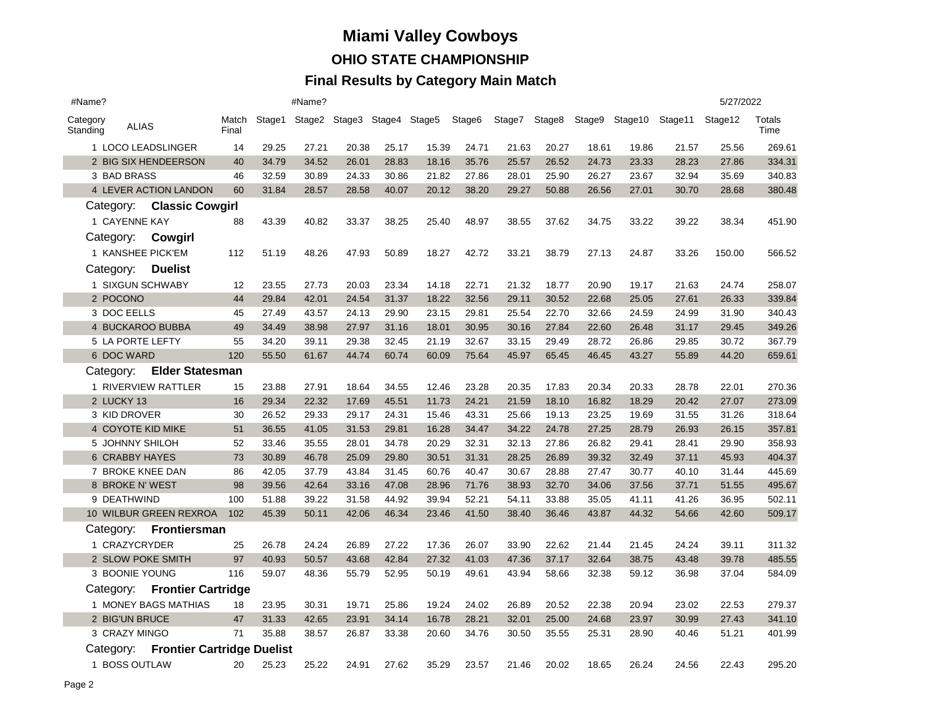#### **Final Results by Category Main Match**

| #Name?                               |                           |                |       | #Name? |       |       |                                    |        |       |       |       |       |                                      | 5/27/2022 |                       |
|--------------------------------------|---------------------------|----------------|-------|--------|-------|-------|------------------------------------|--------|-------|-------|-------|-------|--------------------------------------|-----------|-----------------------|
| Category<br>Standing                 | <b>ALIAS</b>              | Match<br>Final |       |        |       |       | Stage1 Stage2 Stage3 Stage4 Stage5 | Stage6 |       |       |       |       | Stage7 Stage8 Stage9 Stage10 Stage11 | Stage12   | <b>Totals</b><br>Time |
|                                      | 1 LOCO LEADSLINGER        |                |       | 27.21  | 20.38 | 25.17 | 15.39                              | 24.71  | 21.63 | 20.27 | 18.61 | 19.86 | 21.57                                | 25.56     | 269.61                |
|                                      | 2 BIG SIX HENDEERSON      | 40             | 34.79 | 34.52  | 26.01 | 28.83 | 18.16                              | 35.76  | 25.57 | 26.52 | 24.73 | 23.33 | 28.23                                | 27.86     | 334.31                |
| 3 BAD BRASS                          |                           | 46             | 32.59 | 30.89  | 24.33 | 30.86 | 21.82                              | 27.86  | 28.01 | 25.90 | 26.27 | 23.67 | 32.94                                | 35.69     | 340.83                |
|                                      | 4 LEVER ACTION LANDON     | 60             | 31.84 | 28.57  | 28.58 | 40.07 | 20.12                              | 38.20  | 29.27 | 50.88 | 26.56 | 27.01 | 30.70                                | 28.68     | 380.48                |
|                                      | Category: Classic Cowgirl |                |       |        |       |       |                                    |        |       |       |       |       |                                      |           |                       |
|                                      | 1 CAYENNE KAY             | 88             | 43.39 | 40.82  | 33.37 | 38.25 | 25.40                              | 48.97  | 38.55 | 37.62 | 34.75 | 33.22 | 39.22                                | 38.34     | 451.90                |
|                                      | Category: Cowgirl         |                |       |        |       |       |                                    |        |       |       |       |       |                                      |           |                       |
|                                      | 1 KANSHEE PICK'EM         | 112            | 51.19 | 48.26  | 47.93 | 50.89 | 18.27                              | 42.72  | 33.21 | 38.79 | 27.13 | 24.87 | 33.26                                | 150.00    | 566.52                |
| Category:                            | <b>Duelist</b>            |                |       |        |       |       |                                    |        |       |       |       |       |                                      |           |                       |
|                                      | 1 SIXGUN SCHWABY          | 12             | 23.55 | 27.73  | 20.03 | 23.34 | 14.18                              | 22.71  | 21.32 | 18.77 | 20.90 | 19.17 | 21.63                                | 24.74     | 258.07                |
| 2 POCONO                             |                           | 44             | 29.84 | 42.01  | 24.54 | 31.37 | 18.22                              | 32.56  | 29.11 | 30.52 | 22.68 | 25.05 | 27.61                                | 26.33     | 339.84                |
| 3 DOC EELLS                          |                           | 45             | 27.49 | 43.57  | 24.13 | 29.90 | 23.15                              | 29.81  | 25.54 | 22.70 | 32.66 | 24.59 | 24.99                                | 31.90     | 340.43                |
|                                      | 4 BUCKAROO BUBBA          | 49             | 34.49 | 38.98  | 27.97 | 31.16 | 18.01                              | 30.95  | 30.16 | 27.84 | 22.60 | 26.48 | 31.17                                | 29.45     | 349.26                |
|                                      | 5 LA PORTE LEFTY          |                |       | 39.11  | 29.38 | 32.45 | 21.19                              | 32.67  | 33.15 | 29.49 | 28.72 | 26.86 | 29.85                                | 30.72     | 367.79                |
| 6 DOC WARD                           | 120                       | 55.50          | 61.67 | 44.74  | 60.74 | 60.09 | 75.64                              | 45.97  | 65.45 | 46.45 | 43.27 | 55.89 | 44.20                                | 659.61    |                       |
| Category:                            | <b>Elder Statesman</b>    |                |       |        |       |       |                                    |        |       |       |       |       |                                      |           |                       |
|                                      | 1 RIVERVIEW RATTLER       | 15             | 23.88 | 27.91  | 18.64 | 34.55 | 12.46                              | 23.28  | 20.35 | 17.83 | 20.34 | 20.33 | 28.78                                | 22.01     | 270.36                |
| 2 LUCKY 13                           |                           | 16             | 29.34 | 22.32  | 17.69 | 45.51 | 11.73                              | 24.21  | 21.59 | 18.10 | 16.82 | 18.29 | 20.42                                | 27.07     | 273.09                |
|                                      | 3 KID DROVER              | 30             | 26.52 | 29.33  | 29.17 | 24.31 | 15.46                              | 43.31  | 25.66 | 19.13 | 23.25 | 19.69 | 31.55                                | 31.26     | 318.64                |
|                                      | 4 COYOTE KID MIKE         | 51             | 36.55 | 41.05  | 31.53 | 29.81 | 16.28                              | 34.47  | 34.22 | 24.78 | 27.25 | 28.79 | 26.93                                | 26.15     | 357.81                |
|                                      | 5 JOHNNY SHILOH           | 52             | 33.46 | 35.55  | 28.01 | 34.78 | 20.29                              | 32.31  | 32.13 | 27.86 | 26.82 | 29.41 | 28.41                                | 29.90     | 358.93                |
|                                      | <b>6 CRABBY HAYES</b>     | 73             | 30.89 | 46.78  | 25.09 | 29.80 | 30.51                              | 31.31  | 28.25 | 26.89 | 39.32 | 32.49 | 37.11                                | 45.93     | 404.37                |
|                                      | 7 BROKE KNEE DAN          | 86             | 42.05 | 37.79  | 43.84 | 31.45 | 60.76                              | 40.47  | 30.67 | 28.88 | 27.47 | 30.77 | 40.10                                | 31.44     | 445.69                |
|                                      | 8 BROKE N' WEST           | 98             | 39.56 | 42.64  | 33.16 | 47.08 | 28.96                              | 71.76  | 38.93 | 32.70 | 34.06 | 37.56 | 37.71                                | 51.55     | 495.67                |
|                                      | 9 DEATHWIND               | 100            | 51.88 | 39.22  | 31.58 | 44.92 | 39.94                              | 52.21  | 54.11 | 33.88 | 35.05 | 41.11 | 41.26                                | 36.95     | 502.11                |
|                                      | 10 WILBUR GREEN REXROA    | 102            | 45.39 | 50.11  | 42.06 | 46.34 | 23.46                              | 41.50  | 38.40 | 36.46 | 43.87 | 44.32 | 54.66                                | 42.60     | 509.17                |
| Category:                            | Frontiersman              |                |       |        |       |       |                                    |        |       |       |       |       |                                      |           |                       |
|                                      | 1 CRAZYCRYDER             | 25             | 26.78 | 24.24  | 26.89 | 27.22 | 17.36                              | 26.07  | 33.90 | 22.62 | 21.44 | 21.45 | 24.24                                | 39.11     | 311.32                |
|                                      | 2 SLOW POKE SMITH         | 97             | 40.93 | 50.57  | 43.68 | 42.84 | 27.32                              | 41.03  | 47.36 | 37.17 | 32.64 | 38.75 | 43.48                                | 39.78     | 485.55                |
|                                      | 3 BOONIE YOUNG            | 116            | 59.07 | 48.36  | 55.79 | 52.95 | 50.19                              | 49.61  | 43.94 | 58.66 | 32.38 | 59.12 | 36.98                                | 37.04     | 584.09                |
| Category:                            | <b>Frontier Cartridge</b> |                |       |        |       |       |                                    |        |       |       |       |       |                                      |           |                       |
|                                      | 1 MONEY BAGS MATHIAS      | 18             | 23.95 | 30.31  | 19.71 | 25.86 | 19.24                              | 24.02  | 26.89 | 20.52 | 22.38 | 20.94 | 23.02                                | 22.53     | 279.37                |
|                                      | 2 BIG'UN BRUCE            | 47             | 31.33 | 42.65  | 23.91 | 34.14 | 16.78                              | 28.21  | 32.01 | 25.00 | 24.68 | 23.97 | 30.99                                | 27.43     | 341.10                |
|                                      | 3 CRAZY MINGO             | 71             | 35.88 | 38.57  | 26.87 | 33.38 | 20.60                              | 34.76  | 30.50 | 35.55 | 25.31 | 28.90 | 40.46                                | 51.21     | 401.99                |
| Category: Frontier Cartridge Duelist |                           |                |       |        |       |       |                                    |        |       |       |       |       |                                      |           |                       |
|                                      | 1 BOSS OUTLAW             | 20             | 25.23 | 25.22  | 24.91 | 27.62 | 35.29                              | 23.57  | 21.46 | 20.02 | 18.65 | 26.24 | 24.56                                | 22.43     | 295.20                |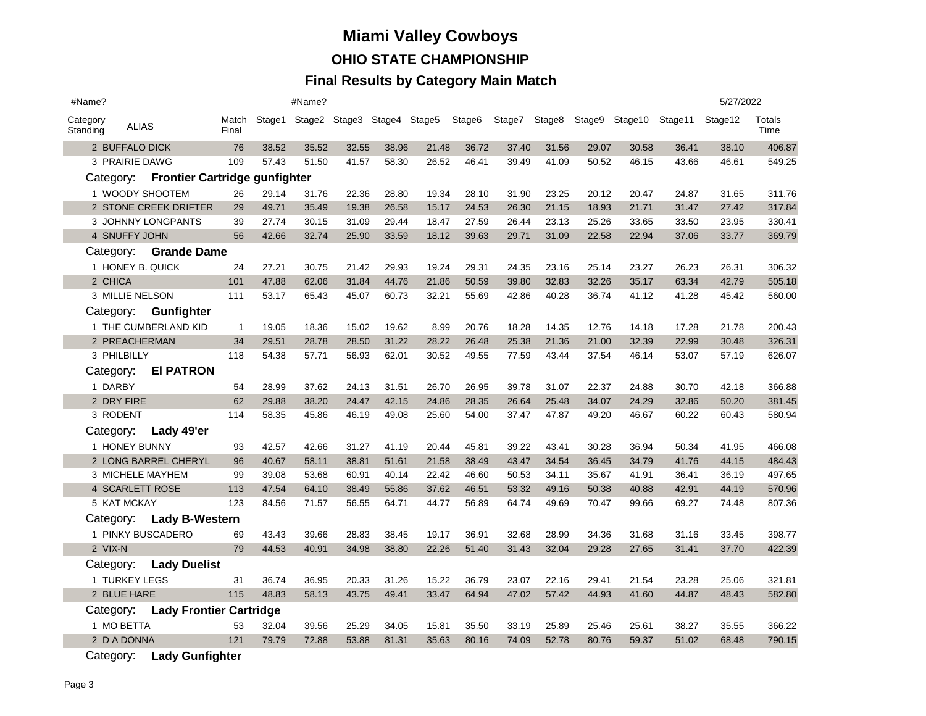#### **Final Results by Category Main Match**

| #Name?                          |                  |                                         |                |       | #Name? |       |       |                                           |       |        |       |       |                       |         | 5/27/2022 |                |
|---------------------------------|------------------|-----------------------------------------|----------------|-------|--------|-------|-------|-------------------------------------------|-------|--------|-------|-------|-----------------------|---------|-----------|----------------|
| Category<br>Standing            | <b>ALIAS</b>     |                                         | Match<br>Final |       |        |       |       | Stage1 Stage2 Stage3 Stage4 Stage5 Stage6 |       | Stage7 |       |       | Stage8 Stage9 Stage10 | Stage11 | Stage12   | Totals<br>Time |
|                                 | 2 BUFFALO DICK   |                                         | 76             | 38.52 | 35.52  | 32.55 | 38.96 | 21.48                                     | 36.72 | 37.40  | 31.56 | 29.07 | 30.58                 | 36.41   | 38.10     | 406.87         |
|                                 | 3 PRAIRIE DAWG   |                                         | 109            | 57.43 | 51.50  | 41.57 | 58.30 | 26.52                                     | 46.41 | 39.49  | 41.09 | 50.52 | 46.15                 | 43.66   | 46.61     | 549.25         |
|                                 |                  | Category: Frontier Cartridge gunfighter |                |       |        |       |       |                                           |       |        |       |       |                       |         |           |                |
|                                 |                  | 1 WOODY SHOOTEM                         | 26             | 29.14 | 31.76  | 22.36 | 28.80 | 19.34                                     | 28.10 | 31.90  | 23.25 | 20.12 | 20.47                 | 24.87   | 31.65     | 311.76         |
|                                 |                  | 2 STONE CREEK DRIFTER                   | 29             | 49.71 | 35.49  | 19.38 | 26.58 | 15.17                                     | 24.53 | 26.30  | 21.15 | 18.93 | 21.71                 | 31.47   | 27.42     | 317.84         |
|                                 |                  | 3 JOHNNY LONGPANTS                      | 39             | 27.74 | 30.15  | 31.09 | 29.44 | 18.47                                     | 27.59 | 26.44  | 23.13 | 25.26 | 33.65                 | 33.50   | 23.95     | 330.41         |
|                                 | 4 SNUFFY JOHN    |                                         | 56             | 42.66 | 32.74  | 25.90 | 33.59 | 18.12                                     | 39.63 | 29.71  | 31.09 | 22.58 | 22.94                 | 37.06   | 33.77     | 369.79         |
| <b>Grande Dame</b><br>Category: |                  |                                         |                |       |        |       |       |                                           |       |        |       |       |                       |         |           |                |
|                                 | 1 HONEY B. QUICK |                                         | 24             | 27.21 | 30.75  | 21.42 | 29.93 | 19.24                                     | 29.31 | 24.35  | 23.16 | 25.14 | 23.27                 | 26.23   | 26.31     | 306.32         |
|                                 | 2 CHICA          |                                         | 101            | 47.88 | 62.06  | 31.84 | 44.76 | 21.86                                     | 50.59 | 39.80  | 32.83 | 32.26 | 35.17                 | 63.34   | 42.79     | 505.18         |
|                                 | 3 MILLIE NELSON  |                                         | 111            | 53.17 | 65.43  | 45.07 | 60.73 | 32.21                                     | 55.69 | 42.86  | 40.28 | 36.74 | 41.12                 | 41.28   | 45.42     | 560.00         |
|                                 |                  | Category: Gunfighter                    |                |       |        |       |       |                                           |       |        |       |       |                       |         |           |                |
|                                 |                  | 1 THE CUMBERLAND KID                    | $\mathbf{1}$   | 19.05 | 18.36  | 15.02 | 19.62 | 8.99                                      | 20.76 | 18.28  | 14.35 | 12.76 | 14.18                 | 17.28   | 21.78     | 200.43         |
|                                 | 2 PREACHERMAN    |                                         | 34             | 29.51 | 28.78  | 28.50 | 31.22 | 28.22                                     | 26.48 | 25.38  | 21.36 | 21.00 | 32.39                 | 22.99   | 30.48     | 326.31         |
|                                 | 3 PHILBILLY      |                                         | 118            | 54.38 | 57.71  | 56.93 | 62.01 | 30.52                                     | 49.55 | 77.59  | 43.44 | 37.54 | 46.14                 | 53.07   | 57.19     | 626.07         |
|                                 | Category:        | <b>EI PATRON</b>                        |                |       |        |       |       |                                           |       |        |       |       |                       |         |           |                |
|                                 | 1 DARBY          |                                         | 54             | 28.99 | 37.62  | 24.13 | 31.51 | 26.70                                     | 26.95 | 39.78  | 31.07 | 22.37 | 24.88                 | 30.70   | 42.18     | 366.88         |
|                                 | 2 DRY FIRE       |                                         | 62             | 29.88 | 38.20  | 24.47 | 42.15 | 24.86                                     | 28.35 | 26.64  | 25.48 | 34.07 | 24.29                 | 32.86   | 50.20     | 381.45         |
|                                 | 3 RODENT         |                                         | 114            | 58.35 | 45.86  | 46.19 | 49.08 | 25.60                                     | 54.00 | 37.47  | 47.87 | 49.20 | 46.67                 | 60.22   | 60.43     | 580.94         |
|                                 | Category:        | Lady 49'er                              |                |       |        |       |       |                                           |       |        |       |       |                       |         |           |                |
|                                 | 1 HONEY BUNNY    |                                         | 93             | 42.57 | 42.66  | 31.27 | 41.19 | 20.44                                     | 45.81 | 39.22  | 43.41 | 30.28 | 36.94                 | 50.34   | 41.95     | 466.08         |
|                                 |                  | 2 LONG BARREL CHERYL                    | 96             | 40.67 | 58.11  | 38.81 | 51.61 | 21.58                                     | 38.49 | 43.47  | 34.54 | 36.45 | 34.79                 | 41.76   | 44.15     | 484.43         |
|                                 |                  | 3 MICHELE MAYHEM                        | 99             | 39.08 | 53.68  | 60.91 | 40.14 | 22.42                                     | 46.60 | 50.53  | 34.11 | 35.67 | 41.91                 | 36.41   | 36.19     | 497.65         |
|                                 | 4 SCARLETT ROSE  |                                         | 113            | 47.54 | 64.10  | 38.49 | 55.86 | 37.62                                     | 46.51 | 53.32  | 49.16 | 50.38 | 40.88                 | 42.91   | 44.19     | 570.96         |
|                                 | 5 KAT MCKAY      |                                         | 123            | 84.56 | 71.57  | 56.55 | 64.71 | 44.77                                     | 56.89 | 64.74  | 49.69 | 70.47 | 99.66                 | 69.27   | 74.48     | 807.36         |
|                                 |                  | Category: Lady B-Western                |                |       |        |       |       |                                           |       |        |       |       |                       |         |           |                |
|                                 |                  | 1 PINKY BUSCADERO                       | 69             | 43.43 | 39.66  | 28.83 | 38.45 | 19.17                                     | 36.91 | 32.68  | 28.99 | 34.36 | 31.68                 | 31.16   | 33.45     | 398.77         |
|                                 | 2 VIX-N          |                                         | 79             | 44.53 | 40.91  | 34.98 | 38.80 | 22.26                                     | 51.40 | 31.43  | 32.04 | 29.28 | 27.65                 | 31.41   | 37.70     | 422.39         |
|                                 |                  | Category: Lady Duelist                  |                |       |        |       |       |                                           |       |        |       |       |                       |         |           |                |
|                                 | 1 TURKEY LEGS    |                                         | 31             | 36.74 | 36.95  | 20.33 | 31.26 | 15.22                                     | 36.79 | 23.07  | 22.16 | 29.41 | 21.54                 | 23.28   | 25.06     | 321.81         |
|                                 | 2 BLUE HARE      |                                         | 115            | 48.83 | 58.13  | 43.75 | 49.41 | 33.47                                     | 64.94 | 47.02  | 57.42 | 44.93 | 41.60                 | 44.87   | 48.43     | 582.80         |
|                                 |                  | Category: Lady Frontier Cartridge       |                |       |        |       |       |                                           |       |        |       |       |                       |         |           |                |
|                                 | 1 MO BETTA       |                                         | 53             | 32.04 | 39.56  | 25.29 | 34.05 | 15.81                                     | 35.50 | 33.19  | 25.89 | 25.46 | 25.61                 | 38.27   | 35.55     | 366.22         |
|                                 | 2 D A DONNA      |                                         | 121            | 79.79 | 72.88  | 53.88 | 81.31 | 35.63                                     | 80.16 | 74.09  | 52.78 | 80.76 | 59.37                 | 51.02   | 68.48     | 790.15         |
|                                 |                  |                                         |                |       |        |       |       |                                           |       |        |       |       |                       |         |           |                |

Category: **Lady Gunfighter**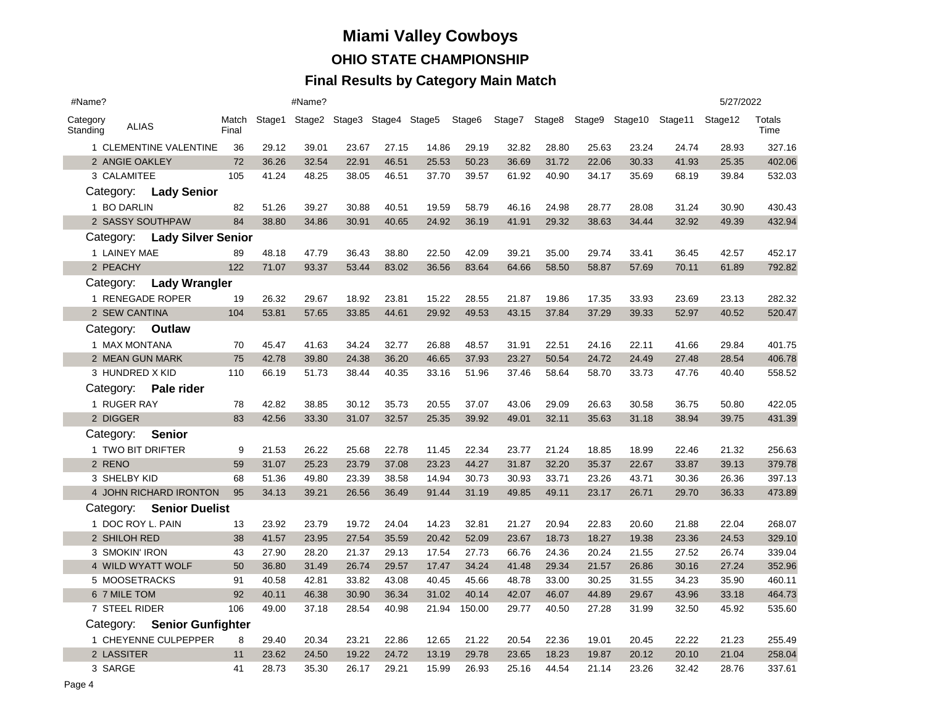#### **Final Results by Category Main Match**

| #Name?                       |                        |                             |                |       | #Name? |       |       |                                           |        |        |       |       |       |                                       | 5/27/2022 |                |
|------------------------------|------------------------|-----------------------------|----------------|-------|--------|-------|-------|-------------------------------------------|--------|--------|-------|-------|-------|---------------------------------------|-----------|----------------|
| Category<br>Standing         | <b>ALIAS</b>           |                             | Match<br>Final |       |        |       |       | Stage1 Stage2 Stage3 Stage4 Stage5 Stage6 |        | Stage7 |       |       |       | Stage8 Stage9 Stage10 Stage11 Stage12 |           | Totals<br>Time |
|                              | 1 CLEMENTINE VALENTINE |                             |                | 29.12 | 39.01  | 23.67 | 27.15 | 14.86                                     | 29.19  | 32.82  | 28.80 | 25.63 | 23.24 | 24.74                                 | 28.93     | 327.16         |
|                              | 2 ANGIE OAKLEY         |                             | 72             | 36.26 | 32.54  | 22.91 | 46.51 | 25.53                                     | 50.23  | 36.69  | 31.72 | 22.06 | 30.33 | 41.93                                 | 25.35     | 402.06         |
|                              | 3 CALAMITEE            |                             | 105            | 41.24 | 48.25  | 38.05 | 46.51 | 37.70                                     | 39.57  | 61.92  | 40.90 | 34.17 | 35.69 | 68.19                                 | 39.84     | 532.03         |
|                              |                        | Category: Lady Senior       |                |       |        |       |       |                                           |        |        |       |       |       |                                       |           |                |
|                              | 1 BO DARLIN            |                             | 82             | 51.26 | 39.27  | 30.88 | 40.51 | 19.59                                     | 58.79  | 46.16  | 24.98 | 28.77 | 28.08 | 31.24                                 | 30.90     | 430.43         |
|                              |                        | 2 SASSY SOUTHPAW            | 84             | 38.80 | 34.86  | 30.91 | 40.65 | 24.92                                     | 36.19  | 41.91  | 29.32 | 38.63 | 34.44 | 32.92                                 | 49.39     | 432.94         |
| Category: Lady Silver Senior |                        |                             |                |       |        |       |       |                                           |        |        |       |       |       |                                       |           |                |
|                              | 1 LAINEY MAE           |                             | 89             | 48.18 | 47.79  | 36.43 | 38.80 | 22.50                                     | 42.09  | 39.21  | 35.00 | 29.74 | 33.41 | 36.45                                 | 42.57     | 452.17         |
|                              | 2 PEACHY               |                             | 122            | 71.07 | 93.37  | 53.44 | 83.02 | 36.56                                     | 83.64  | 64.66  | 58.50 | 58.87 | 57.69 | 70.11                                 | 61.89     | 792.82         |
|                              |                        | Category: Lady Wrangler     |                |       |        |       |       |                                           |        |        |       |       |       |                                       |           |                |
|                              |                        | 1 RENEGADE ROPER            | 19             | 26.32 | 29.67  | 18.92 | 23.81 | 15.22                                     | 28.55  | 21.87  | 19.86 | 17.35 | 33.93 | 23.69                                 | 23.13     | 282.32         |
|                              | 2 SEW CANTINA          |                             | 104            | 53.81 | 57.65  | 33.85 | 44.61 | 29.92                                     | 49.53  | 43.15  | 37.84 | 37.29 | 39.33 | 52.97                                 | 40.52     | 520.47         |
|                              |                        | Category: <b>Outlaw</b>     |                |       |        |       |       |                                           |        |        |       |       |       |                                       |           |                |
|                              | 1 MAX MONTANA          |                             | 70             | 45.47 | 41.63  | 34.24 | 32.77 | 26.88                                     | 48.57  | 31.91  | 22.51 | 24.16 | 22.11 | 41.66                                 | 29.84     | 401.75         |
|                              | 2 MEAN GUN MARK        |                             | 75             | 42.78 | 39.80  | 24.38 | 36.20 | 46.65                                     | 37.93  | 23.27  | 50.54 | 24.72 | 24.49 | 27.48                                 | 28.54     | 406.78         |
|                              | 3 HUNDRED X KID        |                             | 110            | 66.19 | 51.73  | 38.44 | 40.35 | 33.16                                     | 51.96  | 37.46  | 58.64 | 58.70 | 33.73 | 47.76                                 | 40.40     | 558.52         |
|                              |                        | Category: Pale rider        |                |       |        |       |       |                                           |        |        |       |       |       |                                       |           |                |
|                              | 1 RUGER RAY            |                             | 78             | 42.82 | 38.85  | 30.12 | 35.73 | 20.55                                     | 37.07  | 43.06  | 29.09 | 26.63 | 30.58 | 36.75                                 | 50.80     | 422.05         |
|                              | 2 DIGGER               |                             | 83             | 42.56 | 33.30  | 31.07 | 32.57 | 25.35                                     | 39.92  | 49.01  | 32.11 | 35.63 | 31.18 | 38.94                                 | 39.75     | 431.39         |
|                              | Category: Senior       |                             |                |       |        |       |       |                                           |        |        |       |       |       |                                       |           |                |
|                              | 1 TWO BIT DRIFTER      |                             | 9              | 21.53 | 26.22  | 25.68 | 22.78 | 11.45                                     | 22.34  | 23.77  | 21.24 | 18.85 | 18.99 | 22.46                                 | 21.32     | 256.63         |
|                              | 2 RENO                 |                             | 59             | 31.07 | 25.23  | 23.79 | 37.08 | 23.23                                     | 44.27  | 31.87  | 32.20 | 35.37 | 22.67 | 33.87                                 | 39.13     | 379.78         |
|                              | 3 SHELBY KID           |                             | 68             | 51.36 | 49.80  | 23.39 | 38.58 | 14.94                                     | 30.73  | 30.93  | 33.71 | 23.26 | 43.71 | 30.36                                 | 26.36     | 397.13         |
|                              |                        | 4 JOHN RICHARD IRONTON      | 95             | 34.13 | 39.21  | 26.56 | 36.49 | 91.44                                     | 31.19  | 49.85  | 49.11 | 23.17 | 26.71 | 29.70                                 | 36.33     | 473.89         |
|                              |                        | Category: Senior Duelist    |                |       |        |       |       |                                           |        |        |       |       |       |                                       |           |                |
|                              | 1 DOC ROY L. PAIN      |                             | 13             | 23.92 | 23.79  | 19.72 | 24.04 | 14.23                                     | 32.81  | 21.27  | 20.94 | 22.83 | 20.60 | 21.88                                 | 22.04     | 268.07         |
|                              | 2 SHILOH RED           |                             | 38             | 41.57 | 23.95  | 27.54 | 35.59 | 20.42                                     | 52.09  | 23.67  | 18.73 | 18.27 | 19.38 | 23.36                                 | 24.53     | 329.10         |
|                              | 3 SMOKIN' IRON         |                             | 43             | 27.90 | 28.20  | 21.37 | 29.13 | 17.54                                     | 27.73  | 66.76  | 24.36 | 20.24 | 21.55 | 27.52                                 | 26.74     | 339.04         |
|                              |                        | 4 WILD WYATT WOLF           | 50             | 36.80 | 31.49  | 26.74 | 29.57 | 17.47                                     | 34.24  | 41.48  | 29.34 | 21.57 | 26.86 | 30.16                                 | 27.24     | 352.96         |
|                              | 5 MOOSETRACKS          |                             | 91             | 40.58 | 42.81  | 33.82 | 43.08 | 40.45                                     | 45.66  | 48.78  | 33.00 | 30.25 | 31.55 | 34.23                                 | 35.90     | 460.11         |
|                              | 6 7 MILE TOM           |                             | 92             | 40.11 | 46.38  | 30.90 | 36.34 | 31.02                                     | 40.14  | 42.07  | 46.07 | 44.89 | 29.67 | 43.96                                 | 33.18     | 464.73         |
|                              | 7 STEEL RIDER          |                             | 106            | 49.00 | 37.18  | 28.54 | 40.98 | 21.94                                     | 150.00 | 29.77  | 40.50 | 27.28 | 31.99 | 32.50                                 | 45.92     | 535.60         |
|                              |                        | Category: Senior Gunfighter |                |       |        |       |       |                                           |        |        |       |       |       |                                       |           |                |
|                              |                        | 1 CHEYENNE CULPEPPER        | 8              | 29.40 | 20.34  | 23.21 | 22.86 | 12.65                                     | 21.22  | 20.54  | 22.36 | 19.01 | 20.45 | 22.22                                 | 21.23     | 255.49         |
|                              | 2 LASSITER             |                             | 11             | 23.62 | 24.50  | 19.22 | 24.72 | 13.19                                     | 29.78  | 23.65  | 18.23 | 19.87 | 20.12 | 20.10                                 | 21.04     | 258.04         |
| 3 SARGE                      |                        |                             | 41             | 28.73 | 35.30  | 26.17 | 29.21 | 15.99                                     | 26.93  | 25.16  | 44.54 | 21.14 | 23.26 | 32.42                                 | 28.76     | 337.61         |